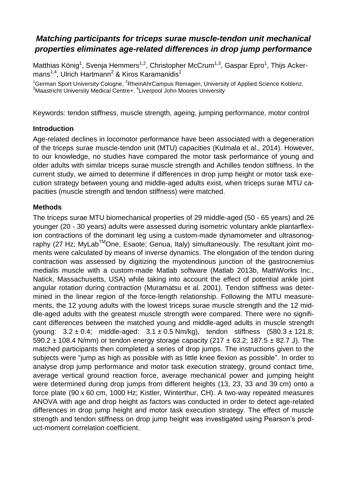# *Matching participants for triceps surae muscle-tendon unit mechanical properties eliminates age-related differences in drop jump performance*

Matthias König<sup>1</sup>, Svenja Hemmers<sup>1,2</sup>, Christopher McCrum<sup>1,3</sup>, Gaspar Epro<sup>1</sup>, Thijs Ackermans<sup>1,4</sup>, Ulrich Hartmann<sup>2</sup> & Kiros Karamanidis<sup>1</sup>

 $1$ German Sport University Cologne,  $2$ RheinAhrCampus Remagen, University of Applied Science Koblenz,  $3$ Maastricht University Medical Centre+,  $4$ Liverpool John Moores University

Keywords: tendon stiffness, muscle strength, ageing, jumping performance, motor control

# **Introduction**

Age-related declines in locomotor performance have been associated with a degeneration of the triceps surae muscle-tendon unit (MTU) capacities (Kulmala et al., 2014). However, to our knowledge, no studies have compared the motor task performance of young and older adults with similar triceps surae muscle strength and Achilles tendon stiffness. In the current study, we aimed to determine if differences in drop jump height or motor task execution strategy between young and middle-aged adults exist, when triceps surae MTU capacities (muscle strength and tendon stiffness) were matched.

# **Methods**

The triceps surae MTU biomechanical properties of 29 middle-aged (50 - 65 years) and 26 younger (20 - 30 years) adults were assessed during isometric voluntary ankle plantarflexion contractions of the dominant leg using a custom-made dynamometer and ultrasonography (27 Hz; MyLab™One, Esaote; Genua, Italy) simultaneously. The resultant joint moments were calculated by means of inverse dynamics. The elongation of the tendon during contraction was assessed by digitizing the myotendinous junction of the gastrocnemius medialis muscle with a custom-made Matlab software (Matlab 2013b, MathWorks Inc., Natick, Massachusetts, USA) while taking into account the effect of potential ankle joint angular rotation during contraction (Muramatsu et al. 2001). Tendon stiffness was determined in the linear region of the force-length relationship. Following the MTU measurements, the 12 young adults with the lowest triceps surae muscle strength and the 12 middle-aged adults with the greatest muscle strength were compared. There were no significant differences between the matched young and middle-aged adults in muscle strength (young:  $3.2 \pm 0.4$ ; middle-aged:  $3.1 \pm 0.5$  Nm/kg), tendon stiffness  $(580.3 \pm 121.8)$ ; 590.2  $\pm$  108.4 N/mm) or tendon energy storage capacity (217  $\pm$  63.2; 187.5  $\pm$  82.7 J). The matched participants then completed a series of drop jumps. The instructions given to the subjects were "jump as high as possible with as little knee flexion as possible". In order to analyse drop jump performance and motor task execution strategy, ground contact time, average vertical ground reaction force, average mechanical power and jumping height were determined during drop jumps from different heights (13, 23, 33 and 39 cm) onto a force plate (90 x 60 cm, 1000 Hz; Kistler, Winterthur, CH). A two-way repeated measures ANOVA with age and drop height as factors was conducted in order to detect age-related differences in drop jump height and motor task execution strategy. The effect of muscle strength and tendon stiffness on drop jump height was investigated using Pearson's product-moment correlation coefficient.